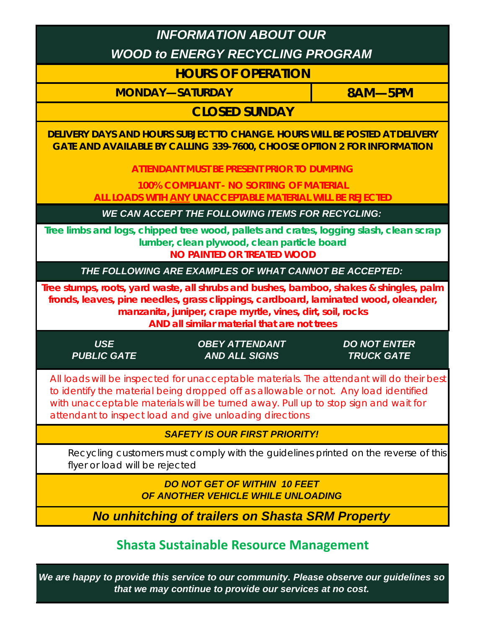# *INFORMATION ABOUT OUR*

## *WOOD to ENERGY RECYCLING PROGRAM*

### **HOURS OF OPERATION**

**MONDAY—SATURDAY**

**8AM—5PM**

**CLOSED SUNDAY**

**DELIVERY DAYS AND HOURS SUBJECT TO CHANGE. HOURS WILL BE POSTED AT DELIVERY GATE AND AVAILABLE BY CALLING 339-7600, CHOOSE OPTION 2 FOR INFORMATION** 

**ATTENDANT MUST BE PRESENT PRIOR TO DUMPING**

**100% COMPLIANT - NO SORTING OF MATERIAL ALL LOADS WITH ANY UNACCEPTABLE MATERIAL WILL BE REJECTED**

*WE CAN ACCEPT THE FOLLOWING ITEMS FOR RECYCLING:*

**Tree limbs and logs, chipped tree wood, pallets and crates, logging slash, clean scrap lumber, clean plywood, clean particle board NO PAINTED OR TREATED WOOD**

*THE FOLLOWING ARE EXAMPLES OF WHAT CANNOT BE ACCEPTED:*

**Tree stumps, roots, yard waste, all shrubs and bushes, bamboo, shakes & shingles, palm fronds, leaves, pine needles, grass clippings, cardboard, laminated wood, oleander, manzanita, juniper, crape myrtle, vines, dirt, soil, rocks**

**AND all similar material that are not trees**

*USE PUBLIC GATE*  *OBEY ATTENDANT AND ALL SIGNS*

*DO NOT ENTER TRUCK GATE*

All loads will be inspected for unacceptable materials. The attendant will do their best to identify the material being dropped off as allowable or not. Any load identified with unacceptable materials will be turned away. Pull up to stop sign and wait for attendant to inspect load and give unloading directions

#### *SAFETY IS OUR FIRST PRIORITY!*

Recycling customers must comply with the guidelines printed on the reverse of this flyer or load will be rejected

> *DO NOT GET OF WITHIN 10 FEET OF ANOTHER VEHICLE WHILE UNLOADING*

*No unhitching of trailers on Shasta SRM Property*

# **Shasta Sustainable Resource Management**

*We are happy to provide this service to our community. Please observe our guidelines so that we may continue to provide our services at no cost.*